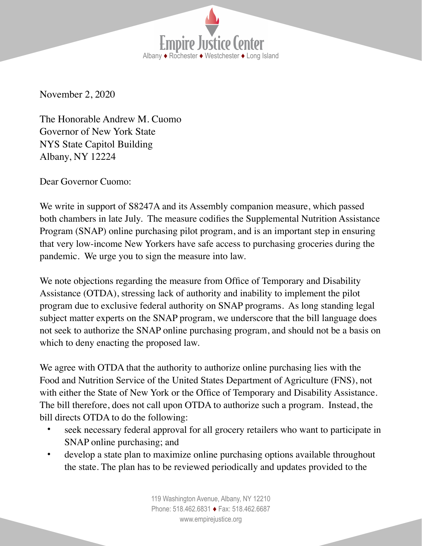

November 2, 2020

The Honorable Andrew M. Cuomo Governor of New York State NYS State Capitol Building Albany, NY 12224

Dear Governor Cuomo:

We write in support of S8247A and its Assembly companion measure, which passed both chambers in late July. The measure codifies the Supplemental Nutrition Assistance Program (SNAP) online purchasing pilot program, and is an important step in ensuring that very low-income New Yorkers have safe access to purchasing groceries during the pandemic. We urge you to sign the measure into law.

We note objections regarding the measure from Office of Temporary and Disability Assistance (OTDA), stressing lack of authority and inability to implement the pilot program due to exclusive federal authority on SNAP programs. As long standing legal subject matter experts on the SNAP program, we underscore that the bill language does not seek to authorize the SNAP online purchasing program, and should not be a basis on which to deny enacting the proposed law.

We agree with OTDA that the authority to authorize online purchasing lies with the Food and Nutrition Service of the United States Department of Agriculture (FNS), not with either the State of New York or the Office of Temporary and Disability Assistance. The bill therefore, does not call upon OTDA to authorize such a program. Instead, the bill directs OTDA to do the following:

- seek necessary federal approval for all grocery retailers who want to participate in SNAP online purchasing; and
- develop a state plan to maximize online purchasing options available throughout the state. The plan has to be reviewed periodically and updates provided to the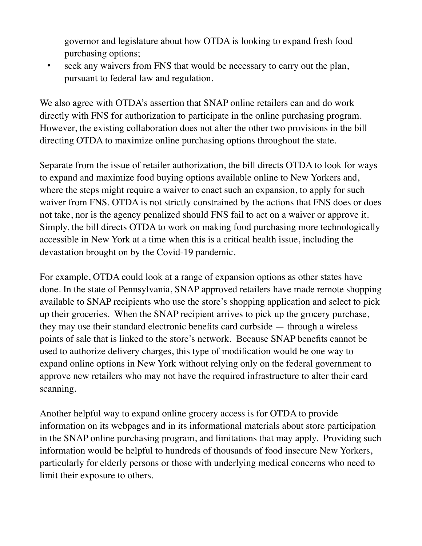governor and legislature about how OTDA is looking to expand fresh food purchasing options;

• seek any waivers from FNS that would be necessary to carry out the plan, pursuant to federal law and regulation.

We also agree with OTDA's assertion that SNAP online retailers can and do work directly with FNS for authorization to participate in the online purchasing program. However, the existing collaboration does not alter the other two provisions in the bill directing OTDA to maximize online purchasing options throughout the state.

Separate from the issue of retailer authorization, the bill directs OTDA to look for ways to expand and maximize food buying options available online to New Yorkers and, where the steps might require a waiver to enact such an expansion, to apply for such waiver from FNS. OTDA is not strictly constrained by the actions that FNS does or does not take, nor is the agency penalized should FNS fail to act on a waiver or approve it. Simply, the bill directs OTDA to work on making food purchasing more technologically accessible in New York at a time when this is a critical health issue, including the devastation brought on by the Covid-19 pandemic.

For example, OTDA could look at a range of expansion options as other states have done. In the state of Pennsylvania, SNAP approved retailers have made remote shopping available to SNAP recipients who use the store's shopping application and select to pick up their groceries. When the SNAP recipient arrives to pick up the grocery purchase, they may use their standard electronic benefits card curbside — through a wireless points of sale that is linked to the store's network. Because SNAP benefits cannot be used to authorize delivery charges, this type of modification would be one way to expand online options in New York without relying only on the federal government to approve new retailers who may not have the required infrastructure to alter their card scanning.

Another helpful way to expand online grocery access is for OTDA to provide information on its webpages and in its informational materials about store participation in the SNAP online purchasing program, and limitations that may apply. Providing such information would be helpful to hundreds of thousands of food insecure New Yorkers, particularly for elderly persons or those with underlying medical concerns who need to limit their exposure to others.